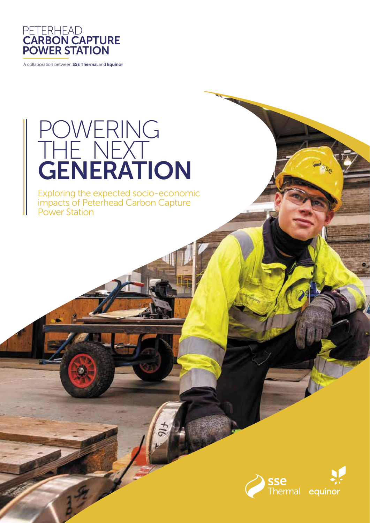

A collaboration between SSE Thermal and Equinor

# POWERING THE NEXT **GENERATION**

Exploring the expected socio-economic impacts of Peterhead Carbon Capture Power Station

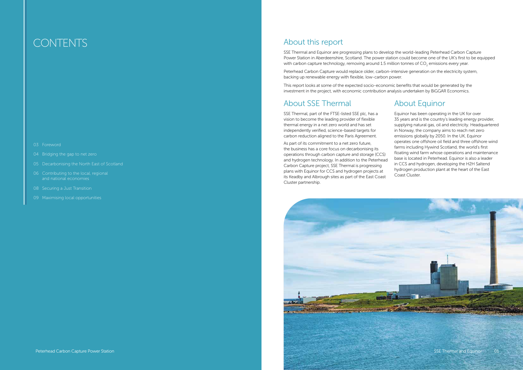

SSE Thermal and Equinor are progressing plans to develop the world-leading Peterhead Carbon Capture Power Station in Aberdeenshire, Scotland. The power station could become one of the UK's first to be equipped with carbon capture technology, removing around 1.5 million tonnes of CO<sub>2</sub> emissions every year.

### About this report

Peterhead Carbon Capture would replace older, carbon-intensive generation on the electricity system, backing up renewable energy with flexible, low-carbon power.

This report looks at some of the expected socio-economic benefits that would be generated by the investment in the project, with economic contribution analysis undertaken by BiGGAR Economics.

### About SSE Thermal

SSE Thermal, part of the FTSE-listed SSE plc, has a vision to become the leading provider of flexible thermal energy in a net zero world and has set independently verified, science-based targets for carbon reduction aligned to the Paris Agreement.

As part of its commitment to a net zero future, the business has a core focus on decarbonising its operations through carbon capture and storage (CCS) and hydrogen technology. In addition to the Peterhead Carbon Capture project, SSE Thermal is progressing plans with Equinor for CCS and hydrogen projects at its Keadby and Albrough sites as part of the East Coast Cluster partnership.

### About Equinor

Equinor has been operating in the UK for over 35 years and is the country's leading energy provider, supplying natural gas, oil and electricity. Headquartered in Norway, the company aims to reach net zero emissions globally by 2050. In the UK, Equinor operates one offshore oil field and three offshore wind farms including Hywind Scotland, the world's first floating wind farm whose operations and maintenance base is located in Peterhead. Equinor is also a leader in CCS and hydrogen, developing the H2H Saltend hydrogen production plant at the heart of the East Coast Cluster.

## **CONTENTS**

- 03 Foreword
- 04 Bridging the gap to net zero
- 05 Decarbonising the North East of Scotland
- 06 Contributing to the local, regional and national economies
- 
- 09 Maximising local opportunities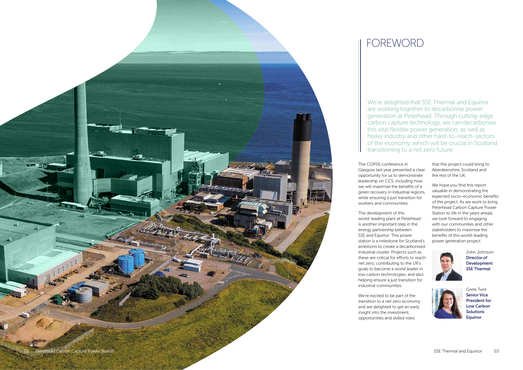## FOREWORD

We're delighted that SSE Thermal and Equinor are working together to decarbonise power generation at Peterhead. Through cutting-edge carbon capture technology, we can decarbonise this vital flexible power generation, as well as heavy industry and other hard-to-reach-sectors of the economy, which will be crucial in Scotland transitioning to a net zero future.

The COP26 conference in Glasgow last year presented a clear opportunity for us to demonstrate leadership on CCS, including how we will maximise the benefits of a green recovery in industrial regions, while ensuring a just transition for workers and communities.

The development of this world-leading plant at Peterhead is another important step in the energy partnership between SSE and Equinor. This power station is a milestone for Scotland's ambitions to create a decarbonised industrial cluster. Projects such as these are critical for efforts to reach net zero, contributing to the UK's goals to become a world leader in low carbon technologies, and also helping ensure a just transition for industrial communities.

We're excited to be part of the transition to a net zero economy and are delighted to get an early insight into the investment, opportunities and skilled roles

that this project could bring to Aberdeenshire, Scotland and the rest of the UK.

We hope you find this report valuable in demonstrating the expected socio-economic benefits of the project. As we work to bring Peterhead Carbon Capture Power Station to life in the years ahead, we look forward to engaging with our communities and other stakeholders to maximise the benefits of this world-leading power generation project.





John Johnson Director of Development SSE Thermal



Grete Tveit Senior Vice President for Low Carbon Solutions Equinor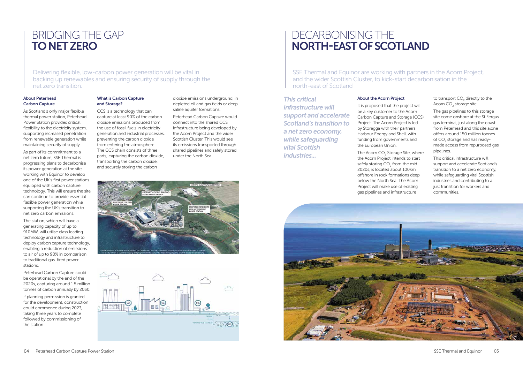### BRIDGING THE GAP TO NET ZERO

Delivering flexible, low-carbon power generation will be vital in backing up renewables and ensuring security of supply through the net zero transition.

## DECARBONISING THE NORTH-EAST OF SCOTLAND

SSE Thermal and Equinor are working with partners in the Acorn Project, and the wider Scottish Cluster, to kick-start decarbonisation in the north-east of Scotland

#### About Peterhead Carbon Capture

As Scotland's only major flexible thermal power station, Peterhead Power Station provides critical flexibility to the electricity system, supporting increased penetration from renewable generation while maintaining security of supply.

As part of its commitment to a net zero future, SSE Thermal is progressing plans to decarbonise its power generation at the site, working with Equinor to develop one of the UK's first power stations equipped with carbon capture technology. This will ensure the site can continue to provide essential flexible power generation while supporting the UK's transition to net zero carbon emissions.

The station, which will have a generating capacity of up to 910MW, will utilise class leading technology and infrastructure to deploy carbon capture technology, enabling a reduction of emissions to air of up to 90% in comparison to traditional gas-fired power stations.

Peterhead Carbon Capture could be operational by the end of the 2020s, capturing around 1.5 million tonnes of carbon annually by 2030.

The Acorn  $CO<sub>2</sub>$  Storage Site, where the Acorn Project intends to start safely storing  $CO<sub>2</sub>$  from the mid-2020s, is located about 100km offshore in rock formations deep below the North Sea. The Acorn Project will make use of existing gas pipelines and infrastructure



If planning permission is granted for the development, construction could commence during 2023, taking three years to complete followed by commissioning of the station.

#### What is Carbon Capture and Storage?

CCS is a technology that can capture at least 90% of the carbon dioxide emissions produced from the use of fossil fuels in electricity generation and industrial processes, preventing the carbon dioxide from entering the atmosphere. The CCS chain consists of three parts; capturing the carbon dioxide, transporting the carbon dioxide, and securely storing the carbon

to transport  $CO<sub>2</sub>$  directly to the Acorn CO<sub>2</sub> storage site.

dioxide emissions underground, in depleted oil and gas fields or deep saline aquifer formations.

Peterhead Carbon Capture would connect into the shared CCS infrastructure being developed by the Acorn Project and the wider Scottish Cluster. This would see its emissions transported through shared pipelines and safely stored under the North Sea.





#### About the Acorn Project

It is proposed that the project will be a key customer to the Acorn Carbon Capture and Storage (CCS) Project. The Acorn Project is led by Storegga with their partners Harbour Energy and Shell, with funding from governments and the European Union.

The gas pipelines to this storage site come onshore at the St Fergus gas terminal, just along the coast from Peterhead and this site alone offers around 150 million tonnes of  $CO_2$  storage and has readymade access from repurposed gas pipelines.

This critical infrastructure will support and accelerate Scotland's transition to a net zero economy, while safeguarding vital Scottish industries and contributing to a just transition for workers and communities.

### *This critical*

*infrastructure will support and accelerate Scotland's transition to a net zero economy, while safeguarding vital Scottish industries...*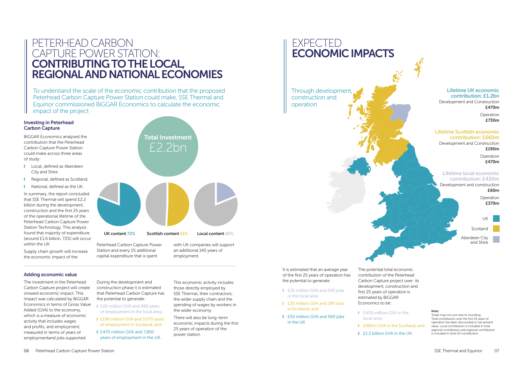EXPECTED

Through development

ECONOMIC IMPACTS

construction and

operation

To understand the scale of the economic contribution that the proposed Peterhead Carbon Capture Power Station could make, SSE Thermal and Equinor commissioned BiGGAR Economics to calculate the economic impact of the project

### PETERHEAD CARBON CAPTURE POWER STATION: CONTRIBUTING TO THE LOCAL, REGIONAL AND NATIONAL ECONOMIES

#### Investing in Peterhead Carbon Capture

BiGGAR Economics analysed the contribution that the Peterhead Carbon Capture Power Station could make across three areas of study:

- Local, defined as Aberdeen City and Shire
- **I** Regional, defined as Scotland;
- **I** National, defined as the UK.

- £60 million GVA and 980 years of employment in the local area;
- **I** £190 million GVA and 3,070 years of employment in Scotland; and
- **I** £470 million GVA and 7,850 years of employment in the UK.

In summary, the report concluded that SSE Thermal will spend £2.2 billion during the development, construction and the first 25 years of the operational lifetime of the Peterhead Carbon Capture Power Station Technology. This analysis found that majority of expenditure (around £1.6 billion, 72%) will occur within the UK.



### Adding economic value

The investment in the Peterhead Carbon Capture project will create onward economic impact. This impact was calculated by BiGGAR Economics in terms of Gross Value Added (GVA) to the economy, which is a measure of economic activity that includes wages and profits, and employment, measured in terms of years of employmentand jobs supported.

During the development and construction phase it is estimated that Peterhead Carbon Capture has the potential to generate:

- **I** £25 million GVA and 240 jobs in the local area
- **I** £35 million GVA and 290 jobs in Scotland; and
- **I** £50 million GVA and 560 jobs in the UK

This economic activity includes those directly employed by SSE Thermal, their contractors, the wider supply chain and the spending of wages by workers in the wider economy.

There will also be long-term economic impacts during the first 25 years of operation of the power station.

Peterhead Carbon Capture Power

Station and every 1% additional capital expenditure that is spent with UK companies will support an additional 140 years of employment.

#### Lifetime UK economic contribution: £1.2bn

Development and Construction £470m

> Operation £730m

#### Lifetime Scottish economic contribution: £660m

Development and Construction £190m

> Operation £470m

### Lifetime local economic contribution: £430m

Development and construction £60m

> Operation £370m

Scotland

Aberdeen City and Shire





UK content 72% Scottish content 51% Local content 42%

The potential total economic contribution of the Peterhead Carbon Capture project over its development, construction and first 25 years of operation is estimated by BiGGAR Economics to be:

- **I** £430 million GVA in the local area;
- **I** £660m GVA in the Scotland: and
- **I** £1.2 billion GVA in the UK.

#### Note:

Totals may not sum due to rounding. Total contribution over the first 25 years of operation has been discounted to net present value. Local contribution is included in total regional contribution and regional contribution is included in total UK contribution.

It is estimated that an average year of the first 25 years of operation has the potential to generate: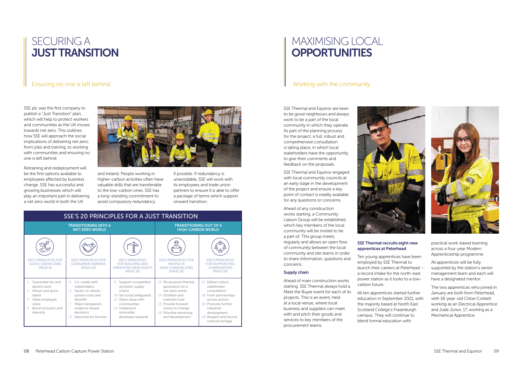SSE plc was the first company to publish a "Just Transition" plan, which will help to protect workers and communities as the UK moves towards net zero. This outlines how SSE will approach the social implications of delivering net zero; from jobs and training, to working with communities and ensuring no one is left behind.

Retraining and redeployment will be the first options available to employees affected by business change. SSE has successful and growing businesses which will play an important part in delivering a net zero world in both the UK



### MAXIMISING LOCAL **OPPORTUNITIES**

and Ireland. People working in higher-carbon activities often have valuable skills that are transferable to the low-carbon ones. SSE has a long-standing commitment to avoid compulsory redundancy

if possible. If redundancy is unavoidable, SSE will work with its employees and trade union partners to ensure it is able to offer a package of terms which support onward transition.

## SECURING A JUST TRANSITION

### Ensuring no one is left behind and the community of the community

SSE Thermal and Equinor are keen to be good neighbours and always work to be a part of the local community in which they operate. As part of the planning process for the project, a full, robust and comprehensive consultation is taking place, in which local stakeholders have the opportunity to give their comments and feedback on the proposals.

SSE Thermal and Equinor engaged with local community councils at an early stage in the development of the project and ensure a key point of contact is readily available for any questions or concerns.

Ahead of any construction works starting, a Community Liaison Group will be established, which key members of the local community will be invited to be a part of. This group meets regularly and allows an open flow of community between the local community and site teams in order to share information, questions and concerns.

#### Supply chain

Ahead of main construction works starting, SSE Thermal always hold a Meet the Buyer event for each of its projects. This is an event, held at a local venue, where local business and suppliers can meet with and pitch their goods and services to key members of the procurement teams.



#### SSE Thermal recruits eight new apprentices at Peterhead

Ten young apprentices have been employed by SSE Thermal to launch their careers at Peterhead – a record intake for the north-east power station as it looks to a lowcarbon future.

All ten apprentices started further education in September 2021, with the majority based at North East Scotland College's Fraserburgh campus. They will continue to blend formal education with



practical work-based learning across a four-year Modern Apprenticeship programme.

All apprentices will be fully supported by the station's senior management team and each will have a designated mentor.

The two apprentices who joined in January are both from Peterhead, with 18-year-old Chloe Corbett working as an Electrical Apprentice and Jude Junor, 17, working as a Mechanical Apprentice.